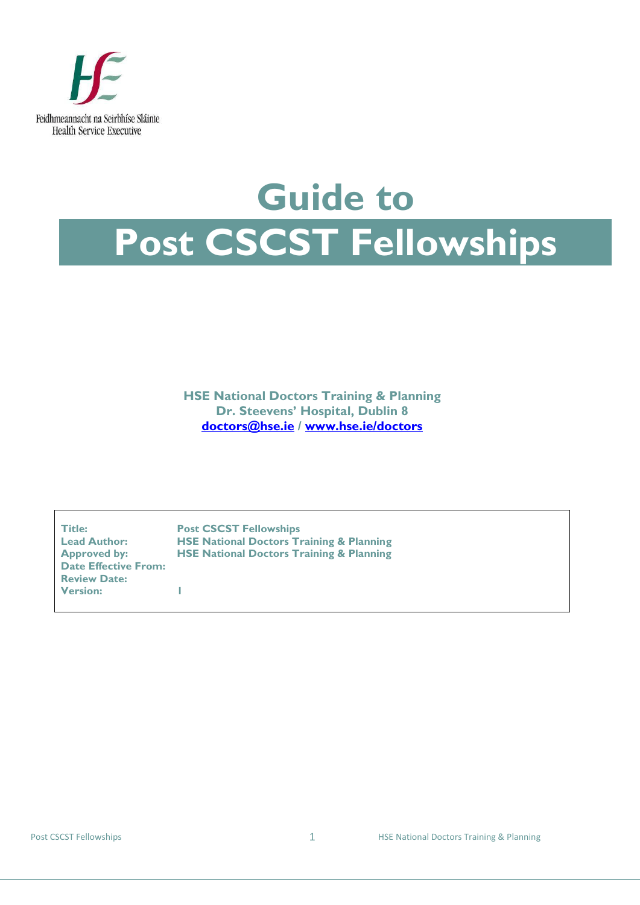

# **Guide to Post CSCST Fellowships**

**HSE National Doctors Training & Planning Dr. Steevens' Hospital, Dublin 8 [doctors@hse.ie](mailto:doctors@hse.ie) / [www.hse.ie/doctors](http://www.hse.ie/doctors)**

**Date Effective From: Review Date: Version: 1**

**Title: Post CSCST Fellowships Lead Author: HSE National Doctors Training & Planning Approved by: HSE National Doctors Training & Planning**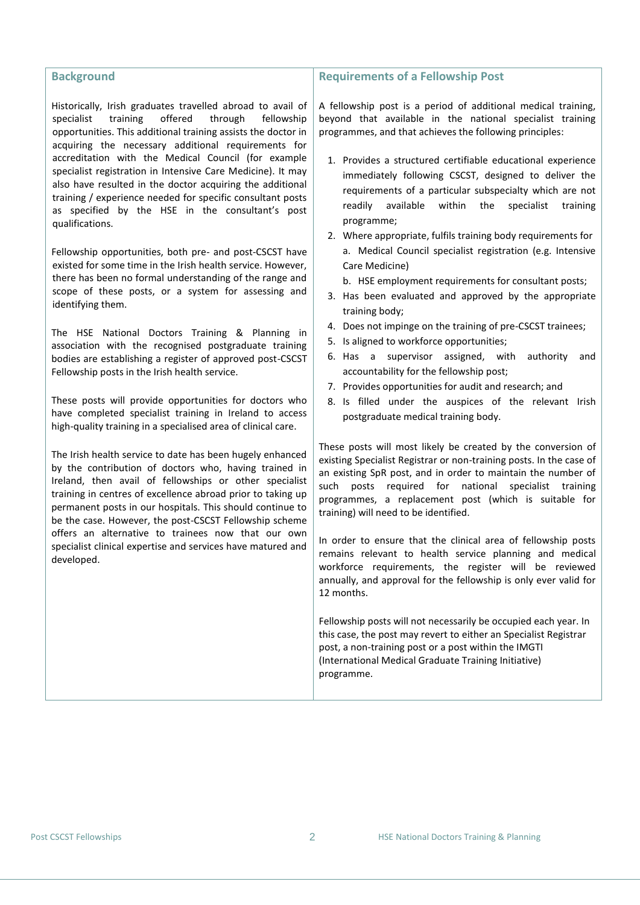# **Background**

Historically, Irish graduates travelled abroad to avail of specialist training offered through fellowship opportunities. This additional training assists the doctor in acquiring the necessary additional requirements for accreditation with the Medical Council (for example specialist registration in Intensive Care Medicine). It may also have resulted in the doctor acquiring the additional training / experience needed for specific consultant posts as specified by the HSE in the consultant's post qualifications.

Fellowship opportunities, both pre- and post-CSCST have existed for some time in the Irish health service. However, there has been no formal understanding of the range and scope of these posts, or a system for assessing and identifying them.

The HSE National Doctors Training & Planning in association with the recognised postgraduate training bodies are establishing a register of approved post-CSCST Fellowship posts in the Irish health service.

These posts will provide opportunities for doctors who have completed specialist training in Ireland to access high-quality training in a specialised area of clinical care.

The Irish health service to date has been hugely enhanced by the contribution of doctors who, having trained in Ireland, then avail of fellowships or other specialist training in centres of excellence abroad prior to taking up permanent posts in our hospitals. This should continue to be the case. However, the post-CSCST Fellowship scheme offers an alternative to trainees now that our own specialist clinical expertise and services have matured and developed.

# **Requirements of a Fellowship Post**

A fellowship post is a period of additional medical training, beyond that available in the national specialist training programmes, and that achieves the following principles:

- 1. Provides a structured certifiable educational experience immediately following CSCST, designed to deliver the requirements of a particular subspecialty which are not readily available within the specialist training programme;
- 2. Where appropriate, fulfils training body requirements for a. Medical Council specialist registration (e.g. Intensive Care Medicine)

b. HSE employment requirements for consultant posts;

- 3. Has been evaluated and approved by the appropriate training body;
- 4. Does not impinge on the training of pre-CSCST trainees;
- 5. Is aligned to workforce opportunities;
- 6. Has a supervisor assigned, with authority and accountability for the fellowship post;
- 7. Provides opportunities for audit and research; and
- 8. Is filled under the auspices of the relevant Irish postgraduate medical training body.

These posts will most likely be created by the conversion of existing Specialist Registrar or non-training posts. In the case of an existing SpR post, and in order to maintain the number of such posts required for national specialist training programmes, a replacement post (which is suitable for training) will need to be identified.

In order to ensure that the clinical area of fellowship posts remains relevant to health service planning and medical workforce requirements, the register will be reviewed annually, and approval for the fellowship is only ever valid for 12 months.

Fellowship posts will not necessarily be occupied each year. In this case, the post may revert to either an Specialist Registrar post, a non-training post or a post within the IMGTI (International Medical Graduate Training Initiative) programme.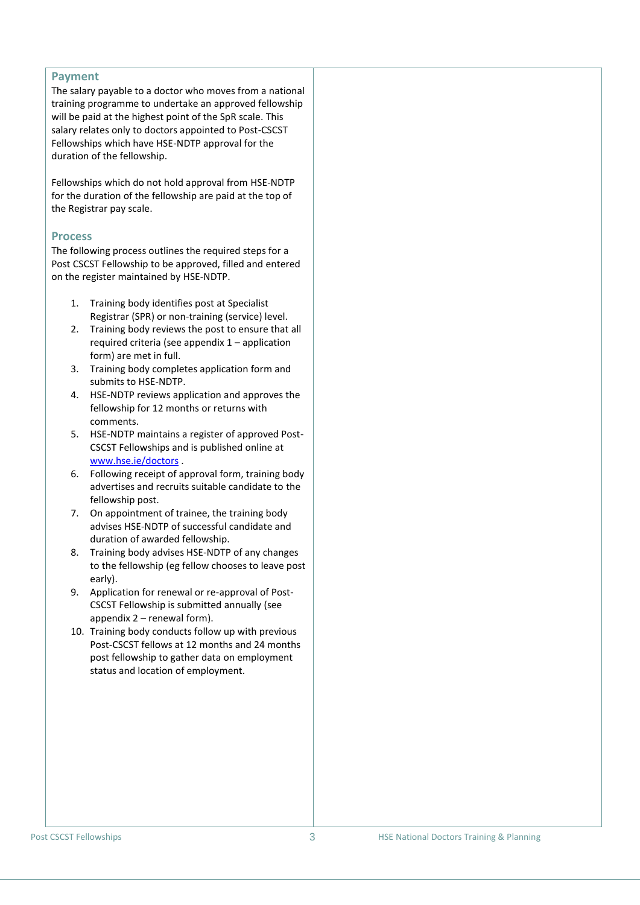### **Payment**

The salary payable to a doctor who moves from a national training programme to undertake an approved fellowship will be paid at the highest point of the SpR scale. This salary relates only to doctors appointed to Post-CSCST Fellowships which have HSE-NDTP approval for the duration of the fellowship.

Fellowships which do not hold approval from HSE-NDTP for the duration of the fellowship are paid at the top of the Registrar pay scale.

# **Process**

The following process outlines the required steps for a Post CSCST Fellowship to be approved, filled and entered on the register maintained by HSE-NDTP.

- 1. Training body identifies post at Specialist Registrar (SPR) or non-training (service) level.
- 2. Training body reviews the post to ensure that all required criteria (see appendix 1 – application form) are met in full.
- 3. Training body completes application form and submits to HSE-NDTP.
- 4. HSE-NDTP reviews application and approves the fellowship for 12 months or returns with comments.
- 5. HSE-NDTP maintains a register of approved Post-CSCST Fellowships and is published online at [www.hse.ie/doctors](http://www.hse.ie/doctors) .
- 6. Following receipt of approval form, training body advertises and recruits suitable candidate to the fellowship post.
- 7. On appointment of trainee, the training body advises HSE-NDTP of successful candidate and duration of awarded fellowship.
- 8. Training body advises HSE-NDTP of any changes to the fellowship (eg fellow chooses to leave post early).
- 9. Application for renewal or re-approval of Post-CSCST Fellowship is submitted annually (see appendix 2 – renewal form).
- 10. Training body conducts follow up with previous Post-CSCST fellows at 12 months and 24 months post fellowship to gather data on employment status and location of employment.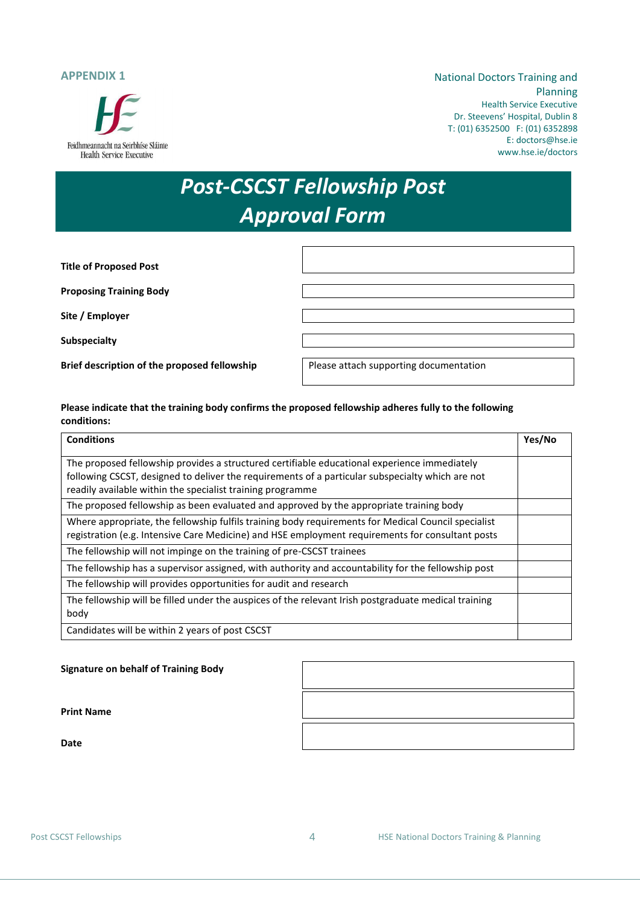### **APPENDIX 1**



### National Doctors Training and Planning Health Service Executive Dr. Steevens' Hospital, Dublin 8 T: (01) 6352500 F: (01) 6352898 E[: doctors@hse.ie](mailto:doctors@hse.ie)  www.hse.ie/doctors

# *Post-CSCST Fellowship Post Approval Form*

**Title of Proposed Post**

**Proposing Training Body**

**Site / Employer**

**Subspecialty**

**Brief description of the proposed fellowship <br>Please attach supporting documentation** 

**Please indicate that the training body confirms the proposed fellowship adheres fully to the following conditions:**

| <b>Conditions</b>                                                                                    | Yes/No |
|------------------------------------------------------------------------------------------------------|--------|
| The proposed fellowship provides a structured certifiable educational experience immediately         |        |
| following CSCST, designed to deliver the requirements of a particular subspecialty which are not     |        |
| readily available within the specialist training programme                                           |        |
| The proposed fellowship as been evaluated and approved by the appropriate training body              |        |
| Where appropriate, the fellowship fulfils training body requirements for Medical Council specialist  |        |
| registration (e.g. Intensive Care Medicine) and HSE employment requirements for consultant posts     |        |
| The fellowship will not impinge on the training of pre-CSCST trainees                                |        |
| The fellowship has a supervisor assigned, with authority and accountability for the fellowship post  |        |
| The fellowship will provides opportunities for audit and research                                    |        |
| The fellowship will be filled under the auspices of the relevant Irish postgraduate medical training |        |
| body                                                                                                 |        |
| Candidates will be within 2 years of post CSCST                                                      |        |

#### **Signature on behalf of Training Body**

**Print Name**

**Date**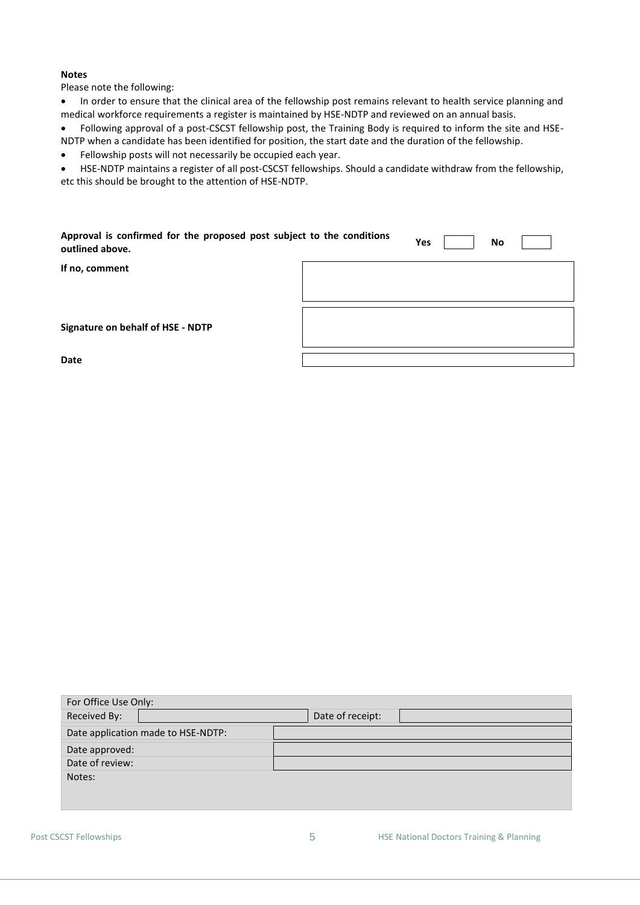#### **Notes**

Please note the following:

 In order to ensure that the clinical area of the fellowship post remains relevant to health service planning and medical workforce requirements a register is maintained by HSE-NDTP and reviewed on an annual basis.

 Following approval of a post-CSCST fellowship post, the Training Body is required to inform the site and HSE-NDTP when a candidate has been identified for position, the start date and the duration of the fellowship.

Fellowship posts will not necessarily be occupied each year.

 HSE-NDTP maintains a register of all post-CSCST fellowships. Should a candidate withdraw from the fellowship, etc this should be brought to the attention of HSE-NDTP.

| Approval is confirmed for the proposed post subject to the conditions<br>outlined above. |  | Yes | No |  |
|------------------------------------------------------------------------------------------|--|-----|----|--|
| If no, comment                                                                           |  |     |    |  |
| Signature on behalf of HSE - NDTP                                                        |  |     |    |  |
| <b>Date</b>                                                                              |  |     |    |  |

| For Office Use Only:               |  |                  |  |  |
|------------------------------------|--|------------------|--|--|
| Received By:                       |  | Date of receipt: |  |  |
| Date application made to HSE-NDTP: |  |                  |  |  |
| Date approved:                     |  |                  |  |  |
| Date of review:                    |  |                  |  |  |
| Notes:                             |  |                  |  |  |
|                                    |  |                  |  |  |
|                                    |  |                  |  |  |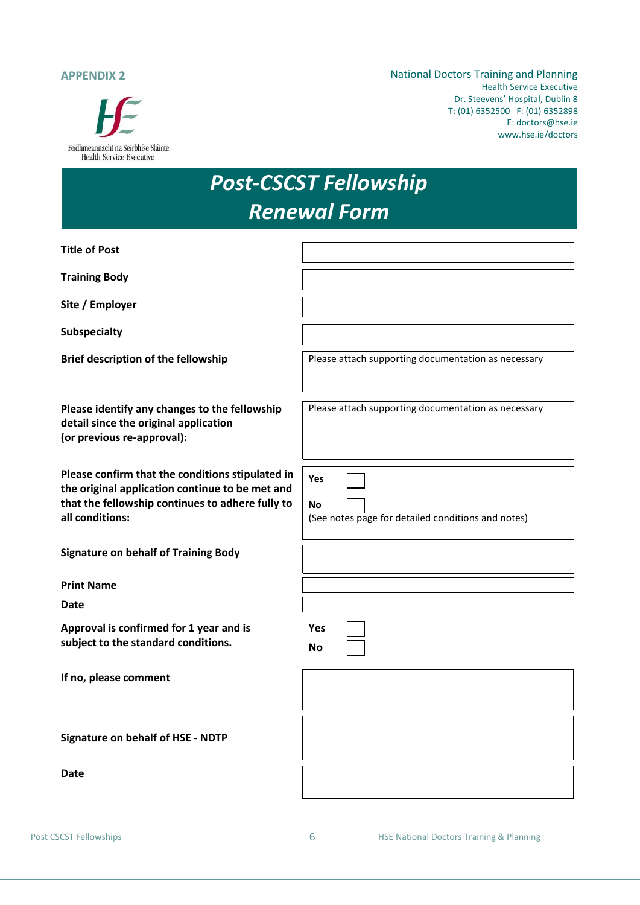### **APPENDIX 2**



National Doctors Training and Planning Health Service Executive Dr. Steevens' Hospital, Dublin 8 T: (01) 6352500 F: (01) 6352898 E[: doctors@hse.ie](mailto:doctors@hse.ie)  www.hse.ie/doctors

# *Post-CSCST Fellowship Renewal Form*

| <b>Title of Post</b>                                                                                                                                                       |                                                                               |
|----------------------------------------------------------------------------------------------------------------------------------------------------------------------------|-------------------------------------------------------------------------------|
| <b>Training Body</b>                                                                                                                                                       |                                                                               |
| Site / Employer                                                                                                                                                            |                                                                               |
| <b>Subspecialty</b>                                                                                                                                                        |                                                                               |
| Brief description of the fellowship                                                                                                                                        | Please attach supporting documentation as necessary                           |
| Please identify any changes to the fellowship<br>detail since the original application<br>(or previous re-approval):                                                       | Please attach supporting documentation as necessary                           |
| Please confirm that the conditions stipulated in<br>the original application continue to be met and<br>that the fellowship continues to adhere fully to<br>all conditions: | <b>Yes</b><br><b>No</b><br>(See notes page for detailed conditions and notes) |
| <b>Signature on behalf of Training Body</b>                                                                                                                                |                                                                               |
| <b>Print Name</b>                                                                                                                                                          |                                                                               |
| <b>Date</b>                                                                                                                                                                |                                                                               |
| Approval is confirmed for 1 year and is<br>subject to the standard conditions.                                                                                             | <b>Yes</b><br><b>No</b>                                                       |
| If no, please comment                                                                                                                                                      |                                                                               |
| <b>Signature on behalf of HSE - NDTP</b>                                                                                                                                   |                                                                               |
| <b>Date</b>                                                                                                                                                                |                                                                               |